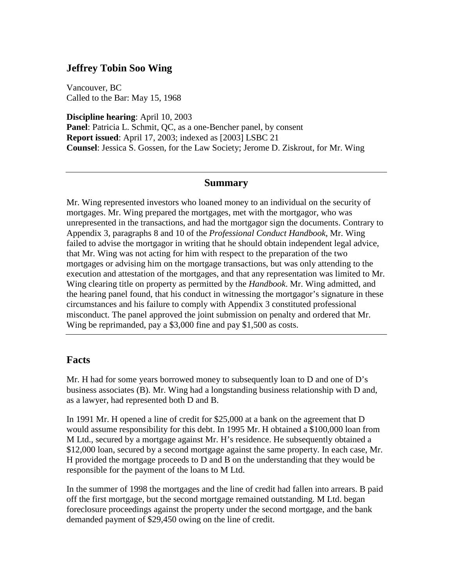# **Jeffrey Tobin Soo Wing**

Vancouver, BC Called to the Bar: May 15, 1968

**Discipline hearing**: April 10, 2003 **Panel**: Patricia L. Schmit, QC, as a one-Bencher panel, by consent **Report issued**: April 17, 2003; indexed as [2003] LSBC 21 **Counsel**: Jessica S. Gossen, for the Law Society; Jerome D. Ziskrout, for Mr. Wing

### **Summary**

Mr. Wing represented investors who loaned money to an individual on the security of mortgages. Mr. Wing prepared the mortgages, met with the mortgagor, who was unrepresented in the transactions, and had the mortgagor sign the documents. Contrary to Appendix 3, paragraphs 8 and 10 of the *Professional Conduct Handbook*, Mr. Wing failed to advise the mortgagor in writing that he should obtain independent legal advice, that Mr. Wing was not acting for him with respect to the preparation of the two mortgages or advising him on the mortgage transactions, but was only attending to the execution and attestation of the mortgages, and that any representation was limited to Mr. Wing clearing title on property as permitted by the *Handbook*. Mr. Wing admitted, and the hearing panel found, that his conduct in witnessing the mortgagor's signature in these circumstances and his failure to comply with Appendix 3 constituted professional misconduct. The panel approved the joint submission on penalty and ordered that Mr. Wing be reprimanded, pay a \$3,000 fine and pay \$1,500 as costs.

## **Facts**

Mr. H had for some years borrowed money to subsequently loan to  $D$  and one of  $D$ 's business associates (B). Mr. Wing had a longstanding business relationship with D and, as a lawyer, had represented both D and B.

In 1991 Mr. H opened a line of credit for \$25,000 at a bank on the agreement that D would assume responsibility for this debt. In 1995 Mr. H obtained a \$100,000 loan from M Ltd., secured by a mortgage against Mr. H's residence. He subsequently obtained a \$12,000 loan, secured by a second mortgage against the same property. In each case, Mr. H provided the mortgage proceeds to D and B on the understanding that they would be responsible for the payment of the loans to M Ltd.

In the summer of 1998 the mortgages and the line of credit had fallen into arrears. B paid off the first mortgage, but the second mortgage remained outstanding. M Ltd. began foreclosure proceedings against the property under the second mortgage, and the bank demanded payment of \$29,450 owing on the line of credit.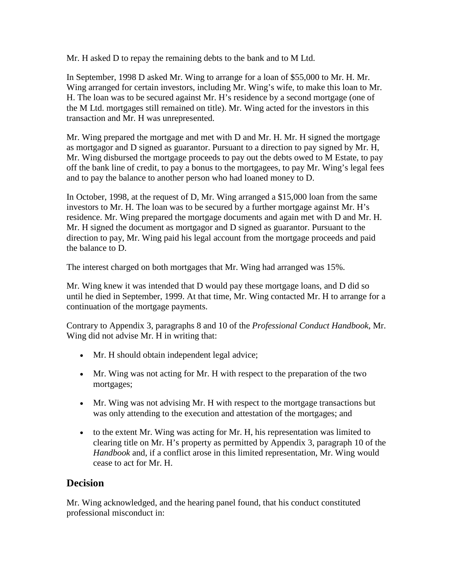Mr. H asked D to repay the remaining debts to the bank and to M Ltd.

In September, 1998 D asked Mr. Wing to arrange for a loan of \$55,000 to Mr. H. Mr. Wing arranged for certain investors, including Mr. Wing's wife, to make this loan to Mr. H. The loan was to be secured against Mr. H's residence by a second mortgage (one of the M Ltd. mortgages still remained on title). Mr. Wing acted for the investors in this transaction and Mr. H was unrepresented.

Mr. Wing prepared the mortgage and met with D and Mr. H. Mr. H signed the mortgage as mortgagor and D signed as guarantor. Pursuant to a direction to pay signed by Mr. H, Mr. Wing disbursed the mortgage proceeds to pay out the debts owed to M Estate, to pay off the bank line of credit, to pay a bonus to the mortgagees, to pay Mr. Wing's legal fees and to pay the balance to another person who had loaned money to D.

In October, 1998, at the request of D, Mr. Wing arranged a \$15,000 loan from the same investors to Mr. H. The loan was to be secured by a further mortgage against Mr. H's residence. Mr. Wing prepared the mortgage documents and again met with D and Mr. H. Mr. H signed the document as mortgagor and D signed as guarantor. Pursuant to the direction to pay, Mr. Wing paid his legal account from the mortgage proceeds and paid the balance to D.

The interest charged on both mortgages that Mr. Wing had arranged was 15%.

Mr. Wing knew it was intended that D would pay these mortgage loans, and D did so until he died in September, 1999. At that time, Mr. Wing contacted Mr. H to arrange for a continuation of the mortgage payments.

Contrary to Appendix 3, paragraphs 8 and 10 of the *Professional Conduct Handbook*, Mr. Wing did not advise Mr. H in writing that:

- Mr. H should obtain independent legal advice;
- Mr. Wing was not acting for Mr. H with respect to the preparation of the two mortgages;
- Mr. Wing was not advising Mr. H with respect to the mortgage transactions but was only attending to the execution and attestation of the mortgages; and
- to the extent Mr. Wing was acting for Mr. H, his representation was limited to clearing title on Mr. H's property as permitted by Appendix 3, paragraph 10 of the *Handbook* and, if a conflict arose in this limited representation, Mr. Wing would cease to act for Mr. H.

## **Decision**

Mr. Wing acknowledged, and the hearing panel found, that his conduct constituted professional misconduct in: